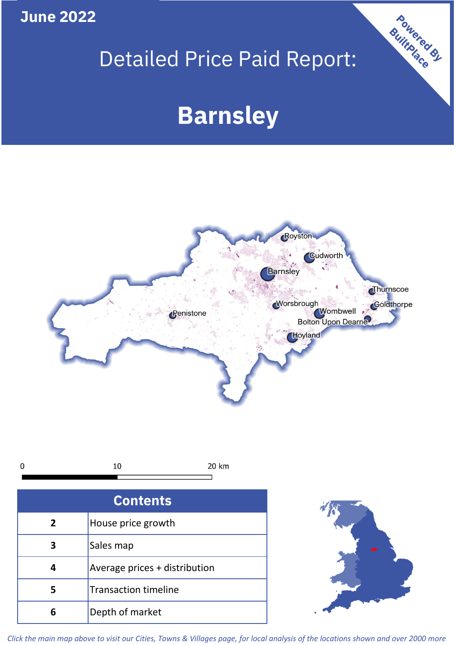**June 2022**

# Detailed Price Paid Report:

# **Barnsley**



|  | 20<br>km |
|--|----------|
|  |          |

| <b>Contents</b> |                               |  |  |
|-----------------|-------------------------------|--|--|
| $\mathbf{2}$    | House price growth            |  |  |
|                 | Sales map                     |  |  |
|                 | Average prices + distribution |  |  |
| 5               | <b>Transaction timeline</b>   |  |  |
|                 | Depth of market               |  |  |



Powered By

*Click the main map above to visit our Cities, Towns & Villages page, for local analysis of the locations shown and over 2000 more*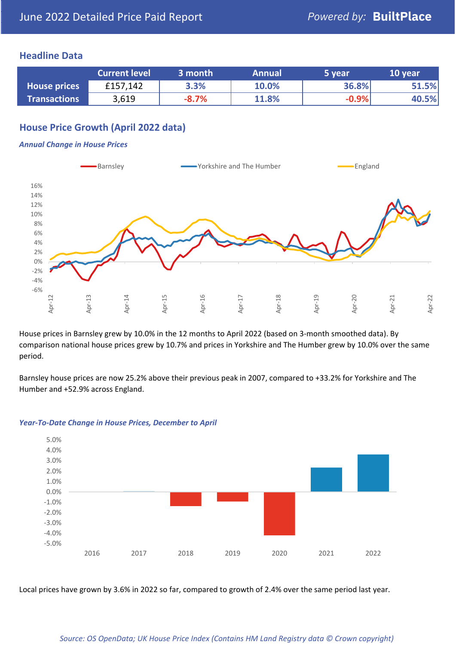## **Headline Data**

|                     | <b>Current level</b> | 3 month | <b>Annual</b> | 5 year  | 10 year |
|---------------------|----------------------|---------|---------------|---------|---------|
| <b>House prices</b> | £157,142             | 3.3%    | 10.0%         | 36.8%   | 51.5%   |
| <b>Transactions</b> | 3,619                | $-8.7%$ | 11.8%         | $-0.9%$ | 40.5%   |

# **House Price Growth (April 2022 data)**

#### *Annual Change in House Prices*



House prices in Barnsley grew by 10.0% in the 12 months to April 2022 (based on 3-month smoothed data). By comparison national house prices grew by 10.7% and prices in Yorkshire and The Humber grew by 10.0% over the same period.

Barnsley house prices are now 25.2% above their previous peak in 2007, compared to +33.2% for Yorkshire and The Humber and +52.9% across England.



#### *Year-To-Date Change in House Prices, December to April*

Local prices have grown by 3.6% in 2022 so far, compared to growth of 2.4% over the same period last year.

#### *Source: OS OpenData; UK House Price Index (Contains HM Land Registry data © Crown copyright)*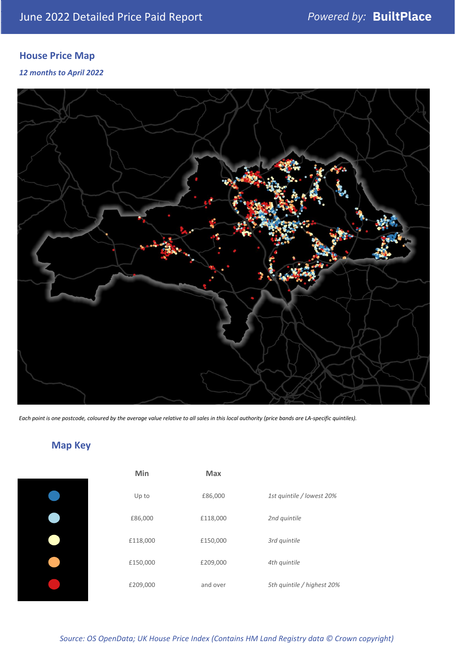# **House Price Map**

*12 months to April 2022*



*Each point is one postcode, coloured by the average value relative to all sales in this local authority (price bands are LA-specific quintiles).*

**Map Key**

| Min      | <b>Max</b> |                            |
|----------|------------|----------------------------|
| Up to    | £86,000    | 1st quintile / lowest 20%  |
| £86,000  | £118,000   | 2nd quintile               |
| £118,000 | £150,000   | 3rd quintile               |
| £150,000 | £209,000   | 4th quintile               |
| £209,000 | and over   | 5th quintile / highest 20% |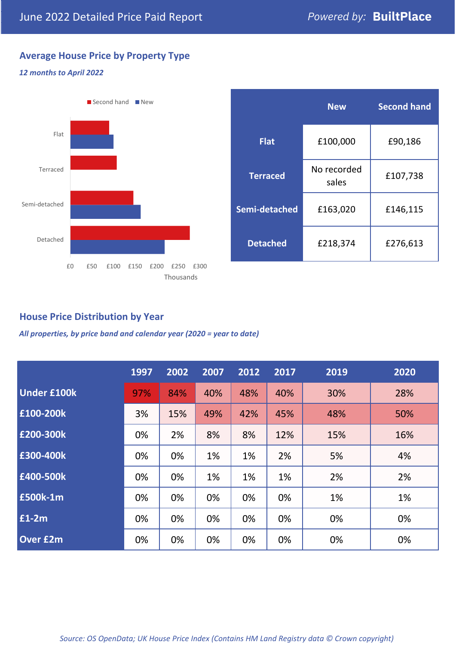# **Average House Price by Property Type**

### *12 months to April 2022*



|                 | <b>New</b>           | <b>Second hand</b> |  |  |
|-----------------|----------------------|--------------------|--|--|
| <b>Flat</b>     | £100,000             | £90,186            |  |  |
| <b>Terraced</b> | No recorded<br>sales | £107,738           |  |  |
| Semi-detached   | £163,020             | £146,115           |  |  |
| <b>Detached</b> | £218,374             | £276,613           |  |  |

# **House Price Distribution by Year**

*All properties, by price band and calendar year (2020 = year to date)*

|                    | 1997 | 2002 | 2007 | 2012 | 2017 | 2019 | 2020 |
|--------------------|------|------|------|------|------|------|------|
| <b>Under £100k</b> | 97%  | 84%  | 40%  | 48%  | 40%  | 30%  | 28%  |
| £100-200k          | 3%   | 15%  | 49%  | 42%  | 45%  | 48%  | 50%  |
| £200-300k          | 0%   | 2%   | 8%   | 8%   | 12%  | 15%  | 16%  |
| £300-400k          | 0%   | 0%   | 1%   | 1%   | 2%   | 5%   | 4%   |
| £400-500k          | 0%   | 0%   | 1%   | 1%   | 1%   | 2%   | 2%   |
| <b>£500k-1m</b>    | 0%   | 0%   | 0%   | 0%   | 0%   | 1%   | 1%   |
| £1-2m              | 0%   | 0%   | 0%   | 0%   | 0%   | 0%   | 0%   |
| <b>Over £2m</b>    | 0%   | 0%   | 0%   | 0%   | 0%   | 0%   | 0%   |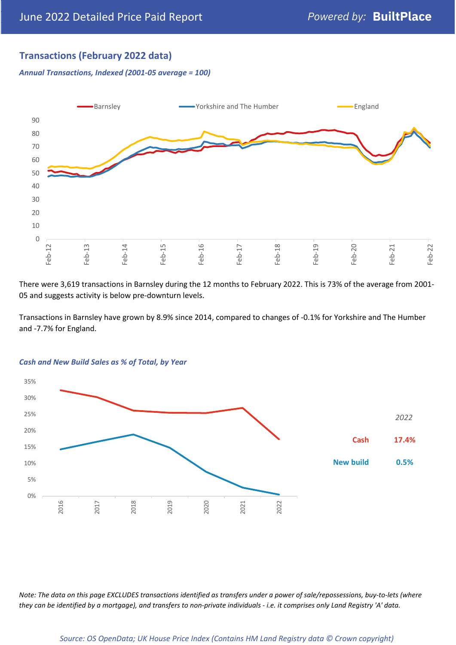# **Transactions (February 2022 data)**

*Annual Transactions, Indexed (2001-05 average = 100)*



There were 3,619 transactions in Barnsley during the 12 months to February 2022. This is 73% of the average from 2001- 05 and suggests activity is below pre-downturn levels.

Transactions in Barnsley have grown by 8.9% since 2014, compared to changes of -0.1% for Yorkshire and The Humber and -7.7% for England.



#### *Cash and New Build Sales as % of Total, by Year*

*Note: The data on this page EXCLUDES transactions identified as transfers under a power of sale/repossessions, buy-to-lets (where they can be identified by a mortgage), and transfers to non-private individuals - i.e. it comprises only Land Registry 'A' data.*